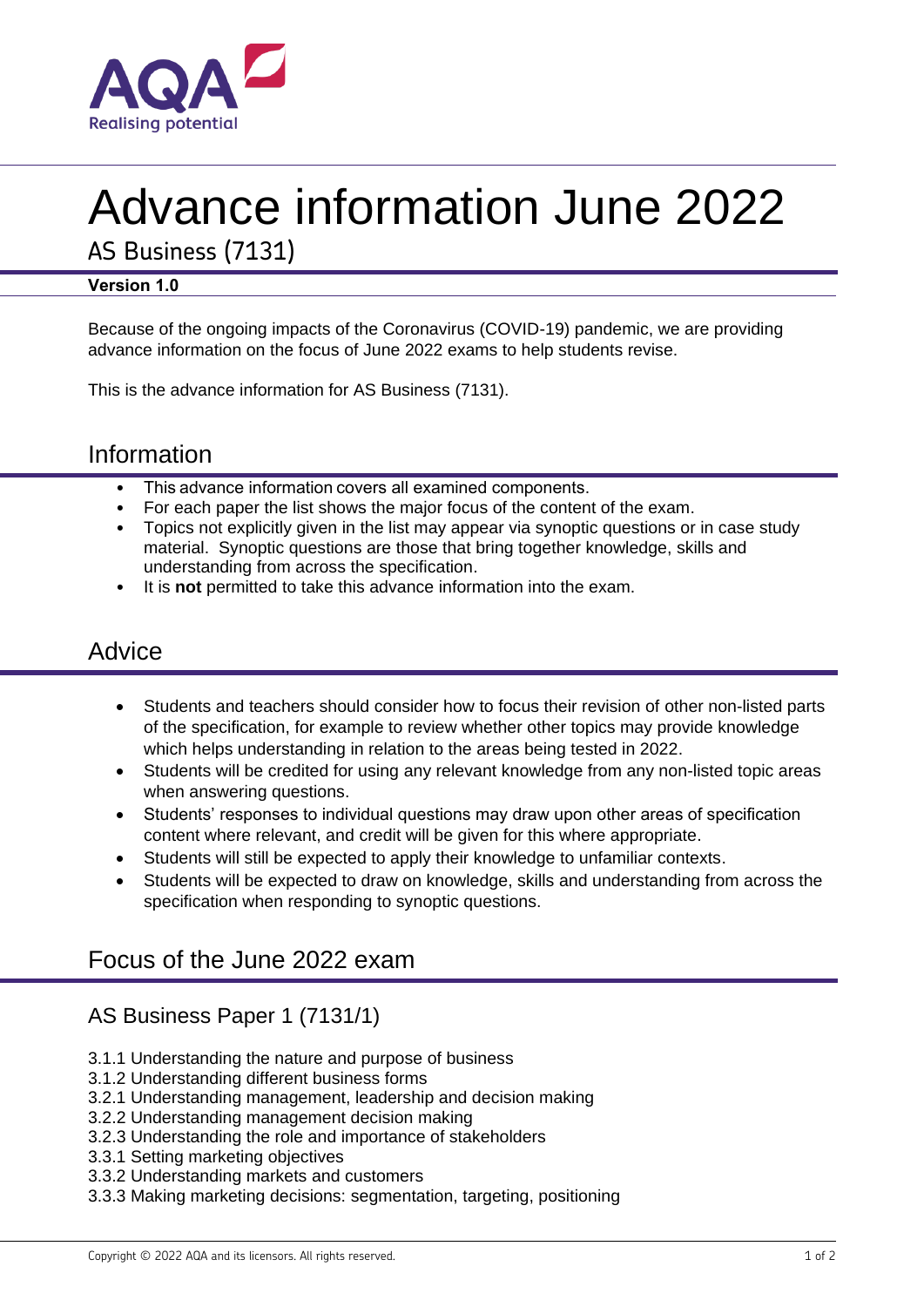

# Advance information June 2022

AS Business (7131)

#### **Version 1.0**

Because of the ongoing impacts of the Coronavirus (COVID-19) pandemic, we are providing advance information on the focus of June 2022 exams to help students revise.

This is the advance information for AS Business (7131).

## Information

- This advance information covers all examined components.
- For each paper the list shows the major focus of the content of the exam.
- Topics not explicitly given in the list may appear via synoptic questions or in case study material. Synoptic questions are those that bring together knowledge, skills and understanding from across the specification.
- It is **not** permitted to take this advance information into the exam.

# **Advice**

- Students and teachers should consider how to focus their revision of other non-listed parts of the specification, for example to review whether other topics may provide knowledge which helps understanding in relation to the areas being tested in 2022.
- Students will be credited for using any relevant knowledge from any non-listed topic areas when answering questions.
- Students' responses to individual questions may draw upon other areas of specification content where relevant, and credit will be given for this where appropriate.
- Students will still be expected to apply their knowledge to unfamiliar contexts.
- Students will be expected to draw on knowledge, skills and understanding from across the specification when responding to synoptic questions.

# Focus of the June 2022 exam

## AS Business Paper 1 (7131/1)

- 3.1.1 Understanding the nature and purpose of business
- 3.1.2 Understanding different business forms
- 3.2.1 Understanding management, leadership and decision making
- 3.2.2 Understanding management decision making
- 3.2.3 Understanding the role and importance of stakeholders
- 3.3.1 Setting marketing objectives
- 3.3.2 Understanding markets and customers
- 3.3.3 Making marketing decisions: segmentation, targeting, positioning